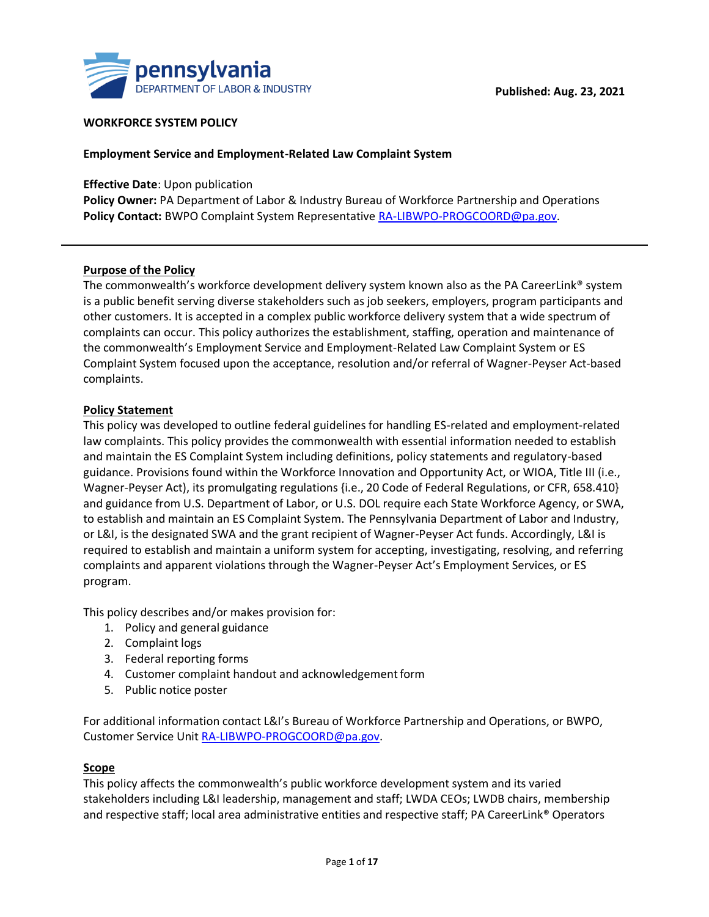

### **WORKFORCE SYSTEM POLICY**

#### **Employment Service and Employment-Related Law Complaint System**

**Effective Date**: Upon publication

**Policy Owner:** PA Department of Labor & Industry Bureau of Workforce Partnership and Operations **Policy Contact:** BWPO Complaint System Representative [RA-LIBWPO-PROGCOORD@pa.gov.](mailto:RA-LIBWPO-PROGCOORD@pa.gov)

### **Purpose of the Policy**

The commonwealth's workforce development delivery system known also as the PA CareerLink® system is a public benefit serving diverse stakeholders such as job seekers, employers, program participants and other customers. It is accepted in a complex public workforce delivery system that a wide spectrum of complaints can occur. This policy authorizes the establishment, staffing, operation and maintenance of the commonwealth's Employment Service and Employment-Related Law Complaint System or ES Complaint System focused upon the acceptance, resolution and/or referral of Wagner-Peyser Act-based complaints.

#### **Policy Statement**

This policy was developed to outline federal guidelines for handling ES-related and employment‐related law complaints. This policy provides the commonwealth with essential information needed to establish and maintain the ES Complaint System including definitions, policy statements and regulatory-based guidance. Provisions found within the Workforce Innovation and Opportunity Act, or WIOA, Title III (i.e., Wagner-Peyser Act), its promulgating regulations {i.e., 20 Code of Federal Regulations, or CFR, 658.410} and guidance from U.S. Department of Labor, or U.S. DOL require each State Workforce Agency, or SWA, to establish and maintain an ES Complaint System. The Pennsylvania Department of Labor and Industry, or L&I, is the designated SWA and the grant recipient of Wagner-Peyser Act funds. Accordingly, L&I is required to establish and maintain a uniform system for accepting, investigating, resolving, and referring complaints and apparent violations through the Wagner-Peyser Act's Employment Services, or ES program.

This policy describes and/or makes provision for:

- 1. Policy and general guidance
- 2. Complaint logs
- 3. Federal reporting forms
- 4. Customer complaint handout and acknowledgement form
- 5. Public notice poster

For additional information contact L&I's Bureau of Workforce Partnership and Operations, or BWPO, Customer Service Unit [RA-LIBWPO-PROGCOORD@pa.gov.](mailto:RA-LIBWPO-PROGCOORD@pa.gov)

#### **Scope**

This policy affects the commonwealth's public workforce development system and its varied stakeholders including L&I leadership, management and staff; LWDA CEOs; LWDB chairs, membership and respective staff; local area administrative entities and respective staff; PA CareerLink® Operators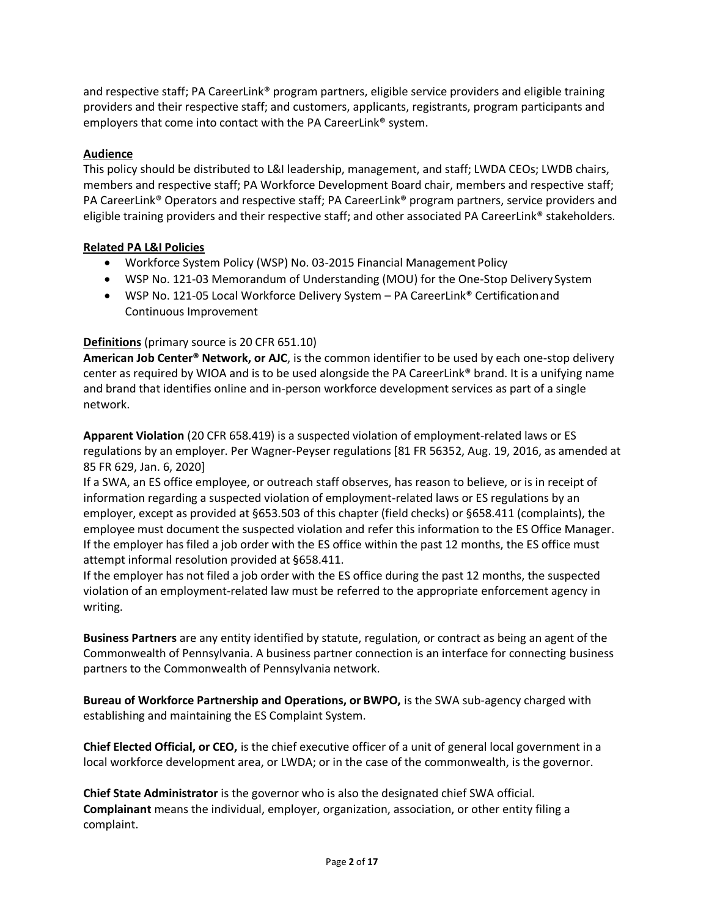and respective staff; PA CareerLink® program partners, eligible service providers and eligible training providers and their respective staff; and customers, applicants, registrants, program participants and employers that come into contact with the PA CareerLink® system.

# **Audience**

This policy should be distributed to L&I leadership, management, and staff; LWDA CEOs; LWDB chairs, members and respective staff; PA Workforce Development Board chair, members and respective staff; PA CareerLink® Operators and respective staff; PA CareerLink® program partners, service providers and eligible training providers and their respective staff; and other associated PA CareerLink® stakeholders.

# **Related PA L&I Policies**

- Workforce System Policy (WSP) No. 03-2015 Financial Management Policy
- WSP No. 121-03 Memorandum of Understanding (MOU) for the One-Stop Delivery System
- WSP No. 121-05 Local Workforce Delivery System PA CareerLink® Certification and Continuous Improvement

# **Definitions** (primary source is 20 CFR 651.10)

**American Job Center® Network, or AJC**, is the common identifier to be used by each one-stop delivery center as required by WIOA and is to be used alongside the PA CareerLink® brand. It is a unifying name and brand that identifies online and in-person workforce development services as part of a single network.

**Apparent Violation** (20 CFR 658.419) is a suspected violation of employment-related laws or ES regulations by an employer. Per Wagner-Peyser regulations [81 FR 56352, Aug. 19, 2016, as amended at 85 FR 629, Jan. 6, 2020]

If a SWA, an ES office employee, or outreach staff observes, has reason to believe, or is in receipt of information regarding a suspected violation of employment-related laws or ES regulations by an employer, except as provided at §653.503 of this chapter (field checks) or §658.411 (complaints), the employee must document the suspected violation and refer this information to the ES Office Manager. If the employer has filed a job order with the ES office within the past 12 months, the ES office must attempt informal resolution provided at §658.411.

If the employer has not filed a job order with the ES office during the past 12 months, the suspected violation of an employment-related law must be referred to the appropriate enforcement agency in writing.

**Business Partners** are any entity identified by statute, regulation, or contract as being an agent of the Commonwealth of Pennsylvania. A business partner connection is an interface for connecting business partners to the Commonwealth of Pennsylvania network.

**Bureau of Workforce Partnership and Operations, or BWPO,** is the SWA sub-agency charged with establishing and maintaining the ES Complaint System.

**Chief Elected Official, or CEO,** is the chief executive officer of a unit of general local government in a local workforce development area, or LWDA; or in the case of the commonwealth, is the governor.

**Chief State Administrator** is the governor who is also the designated chief SWA official. **Complainant** means the individual, employer, organization, association, or other entity filing a complaint.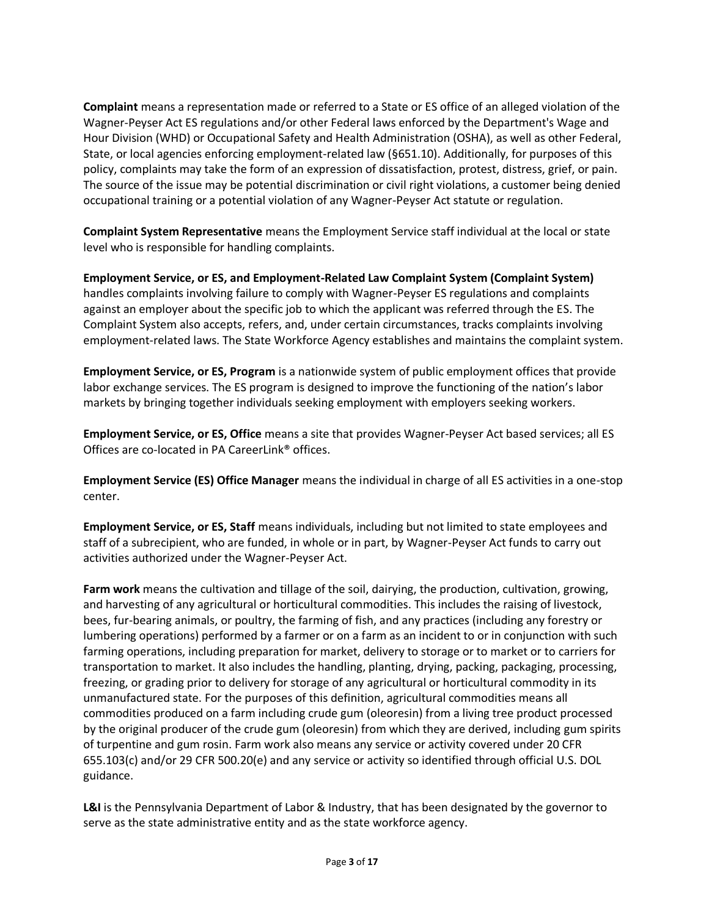**Complaint** means a representation made or referred to a State or ES office of an alleged violation of the Wagner-Peyser Act ES regulations and/or other Federal laws enforced by the Department's Wage and Hour Division (WHD) or Occupational Safety and Health Administration (OSHA), as well as other Federal, State, or local agencies enforcing employment-related law (§651.10). Additionally, for purposes of this policy, complaints may take the form of an expression of dissatisfaction, protest, distress, grief, or pain. The source of the issue may be potential discrimination or civil right violations, a customer being denied occupational training or a potential violation of any Wagner-Peyser Act statute or regulation.

**Complaint System Representative** means the Employment Service staff individual at the local or state level who is responsible for handling complaints.

**Employment Service, or ES, and Employment-Related Law Complaint System (Complaint System)**  handles complaints involving failure to comply with Wagner-Peyser ES regulations and complaints against an employer about the specific job to which the applicant was referred through the ES. The Complaint System also accepts, refers, and, under certain circumstances, tracks complaints involving employment-related laws. The State Workforce Agency establishes and maintains the complaint system.

**Employment Service, or ES, Program** is a nationwide system of public employment offices that provide labor exchange services. The ES program is designed to improve the functioning of the nation's labor markets by bringing together individuals seeking employment with employers seeking workers.

**Employment Service, or ES, Office** means a site that provides Wagner-Peyser Act based services; all ES Offices are co-located in PA CareerLink® offices.

**Employment Service (ES) Office Manager** means the individual in charge of all ES activities in a one-stop center.

**Employment Service, or ES, Staff** means individuals, including but not limited to state employees and staff of a subrecipient, who are funded, in whole or in part, by Wagner-Peyser Act funds to carry out activities authorized under the Wagner-Peyser Act.

**Farm work** means the cultivation and tillage of the soil, dairying, the production, cultivation, growing, and harvesting of any agricultural or horticultural commodities. This includes the raising of livestock, bees, fur-bearing animals, or poultry, the farming of fish, and any practices (including any forestry or lumbering operations) performed by a farmer or on a farm as an incident to or in conjunction with such farming operations, including preparation for market, delivery to storage or to market or to carriers for transportation to market. It also includes the handling, planting, drying, packing, packaging, processing, freezing, or grading prior to delivery for storage of any agricultural or horticultural commodity in its unmanufactured state. For the purposes of this definition, agricultural commodities means all commodities produced on a farm including crude gum (oleoresin) from a living tree product processed by the original producer of the crude gum (oleoresin) from which they are derived, including gum spirits of turpentine and gum rosin. Farm work also means any service or activity covered under 20 CFR 655.103(c) and/or 29 CFR 500.20(e) and any service or activity so identified through official U.S. DOL guidance.

L&I is the Pennsylvania Department of Labor & Industry, that has been designated by the governor to serve as the state administrative entity and as the state workforce agency.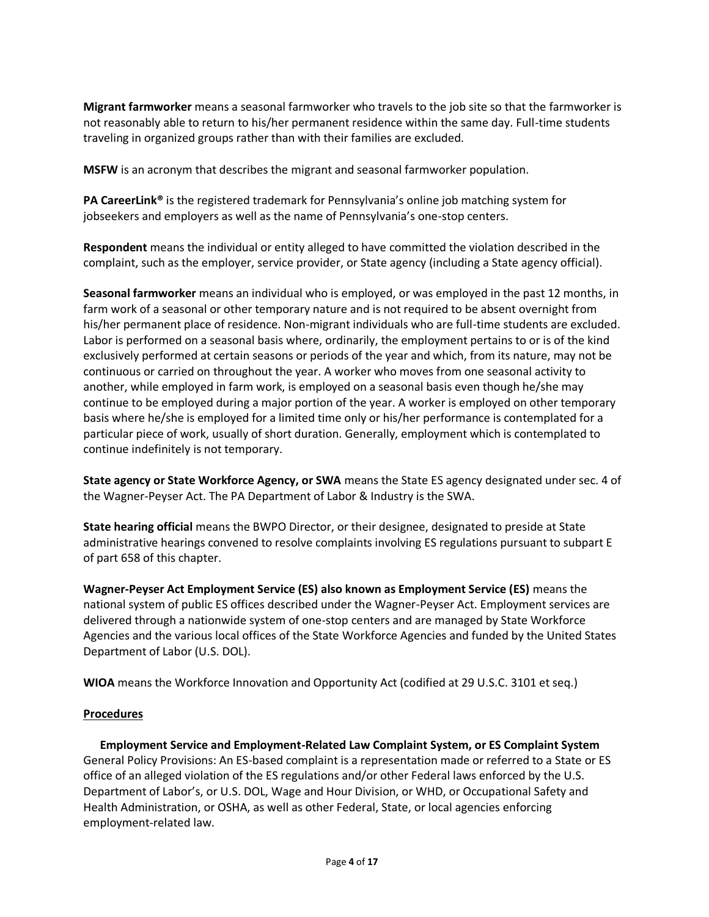**Migrant farmworker** means a seasonal farmworker who travels to the job site so that the farmworker is not reasonably able to return to his/her permanent residence within the same day. Full-time students traveling in organized groups rather than with their families are excluded.

**MSFW** is an acronym that describes the migrant and seasonal farmworker population.

**PA CareerLink®** is the registered trademark for Pennsylvania's online job matching system for jobseekers and employers as well as the name of Pennsylvania's one-stop centers.

**Respondent** means the individual or entity alleged to have committed the violation described in the complaint, such as the employer, service provider, or State agency (including a State agency official).

**Seasonal farmworker** means an individual who is employed, or was employed in the past 12 months, in farm work of a seasonal or other temporary nature and is not required to be absent overnight from his/her permanent place of residence. Non-migrant individuals who are full-time students are excluded. Labor is performed on a seasonal basis where, ordinarily, the employment pertains to or is of the kind exclusively performed at certain seasons or periods of the year and which, from its nature, may not be continuous or carried on throughout the year. A worker who moves from one seasonal activity to another, while employed in farm work, is employed on a seasonal basis even though he/she may continue to be employed during a major portion of the year. A worker is employed on other temporary basis where he/she is employed for a limited time only or his/her performance is contemplated for a particular piece of work, usually of short duration. Generally, employment which is contemplated to continue indefinitely is not temporary.

**State agency or State Workforce Agency, or SWA** means the State ES agency designated under sec. 4 of the Wagner-Peyser Act. The PA Department of Labor & Industry is the SWA.

**State hearing official** means the BWPO Director, or their designee, designated to preside at State administrative hearings convened to resolve complaints involving ES regulations pursuant to subpart E of part 658 of this chapter.

**Wagner-Peyser Act Employment Service (ES) also known as Employment Service (ES)** means the national system of public ES offices described under the Wagner-Peyser Act. Employment services are delivered through a nationwide system of one-stop centers and are managed by State Workforce Agencies and the various local offices of the State Workforce Agencies and funded by the United States Department of Labor (U.S. DOL).

**WIOA** means the Workforce Innovation and Opportunity Act (codified at 29 U.S.C. 3101 et seq.)

### **Procedures**

**Employment Service and Employment-Related Law Complaint System, or ES Complaint System**  General Policy Provisions: An ES-based complaint is a representation made or referred to a State or ES office of an alleged violation of the ES regulations and/or other Federal laws enforced by the U.S. Department of Labor's, or U.S. DOL, Wage and Hour Division, or WHD, or Occupational Safety and Health Administration, or OSHA, as well as other Federal, State, or local agencies enforcing employment‐related law.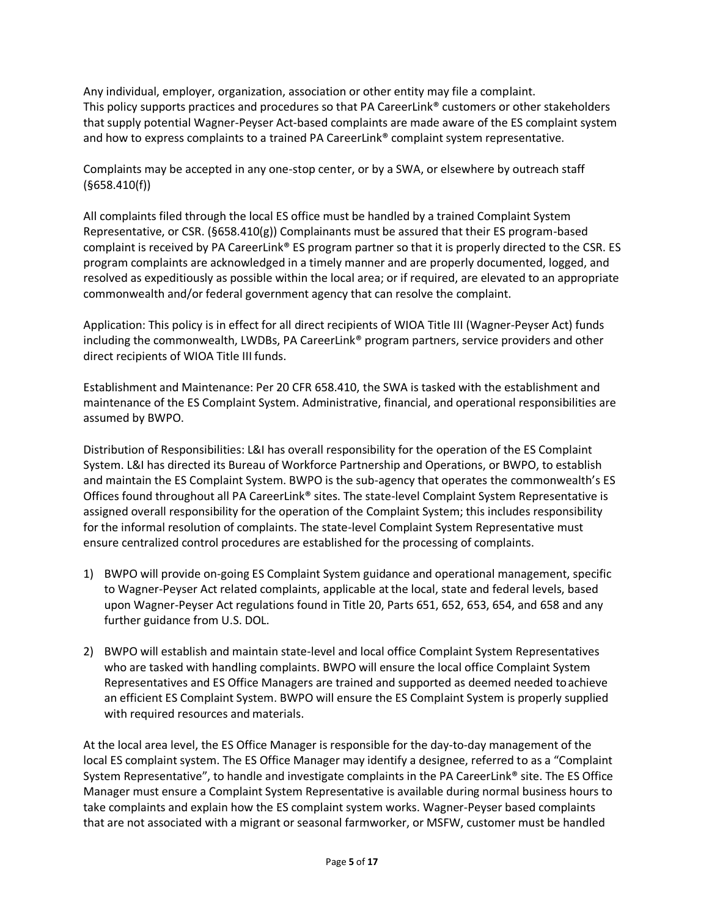Any individual, employer, organization, association or other entity may file a complaint. This policy supports practices and procedures so that PA CareerLink® customers or other stakeholders that supply potential Wagner-Peyser Act-based complaints are made aware of the ES complaint system and how to express complaints to a trained PA CareerLink® complaint system representative.

Complaints may be accepted in any one-stop center, or by a SWA, or elsewhere by outreach staff (§658.410(f))

All complaints filed through the local ES office must be handled by a trained Complaint System Representative, or CSR. (§658.410(g)) Complainants must be assured that their ES program-based complaint is received by PA CareerLink® ES program partner so that it is properly directed to the CSR. ES program complaints are acknowledged in a timely manner and are properly documented, logged, and resolved as expeditiously as possible within the local area; or if required, are elevated to an appropriate commonwealth and/or federal government agency that can resolve the complaint.

Application: This policy is in effect for all direct recipients of WIOA Title III (Wagner-Peyser Act) funds including the commonwealth, LWDBs, PA CareerLink® program partners, service providers and other direct recipients of WIOA Title III funds.

Establishment and Maintenance: Per 20 CFR 658.410, the SWA is tasked with the establishment and maintenance of the ES Complaint System. Administrative, financial, and operational responsibilities are assumed by BWPO.

Distribution of Responsibilities: L&I has overall responsibility for the operation of the ES Complaint System. L&I has directed its Bureau of Workforce Partnership and Operations, or BWPO, to establish and maintain the ES Complaint System. BWPO is the sub-agency that operates the commonwealth's ES Offices found throughout all PA CareerLink® sites. The state-level Complaint System Representative is assigned overall responsibility for the operation of the Complaint System; this includes responsibility for the informal resolution of complaints. The state-level Complaint System Representative must ensure centralized control procedures are established for the processing of complaints.

- 1) BWPO will provide on-going ES Complaint System guidance and operational management, specific to Wagner-Peyser Act related complaints, applicable at the local, state and federal levels, based upon Wagner-Peyser Act regulations found in Title 20, Parts 651, 652, 653, 654, and 658 and any further guidance from U.S. DOL.
- 2) BWPO will establish and maintain state-level and local office Complaint System Representatives who are tasked with handling complaints. BWPO will ensure the local office Complaint System Representatives and ES Office Managers are trained and supported as deemed needed toachieve an efficient ES Complaint System. BWPO will ensure the ES Complaint System is properly supplied with required resources and materials.

At the local area level, the ES Office Manager is responsible for the day‐to‐day management of the local ES complaint system. The ES Office Manager may identify a designee, referred to as a "Complaint System Representative", to handle and investigate complaints in the PA CareerLink® site. The ES Office Manager must ensure a Complaint System Representative is available during normal business hours to take complaints and explain how the ES complaint system works. Wagner-Peyser based complaints that are not associated with a migrant or seasonal farmworker, or MSFW, customer must be handled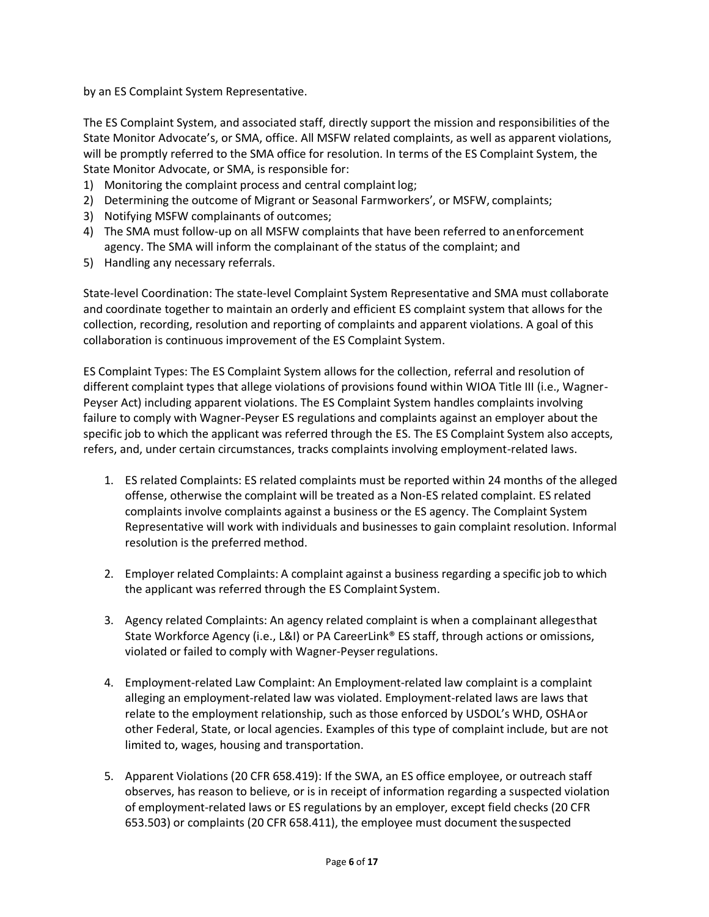by an ES Complaint System Representative.

The ES Complaint System, and associated staff, directly support the mission and responsibilities of the State Monitor Advocate's, or SMA, office. All MSFW related complaints, as well as apparent violations, will be promptly referred to the SMA office for resolution. In terms of the ES Complaint System, the State Monitor Advocate, or SMA, is responsible for:

- 1) Monitoring the complaint process and central complaint log;
- 2) Determining the outcome of Migrant or Seasonal Farmworkers', or MSFW, complaints;
- 3) Notifying MSFW complainants of outcomes;
- 4) The SMA must follow-up on all MSFW complaints that have been referred to anenforcement agency. The SMA will inform the complainant of the status of the complaint; and
- 5) Handling any necessary referrals.

State-level Coordination: The state-level Complaint System Representative and SMA must collaborate and coordinate together to maintain an orderly and efficient ES complaint system that allows for the collection, recording, resolution and reporting of complaints and apparent violations. A goal of this collaboration is continuous improvement of the ES Complaint System.

ES Complaint Types: The ES Complaint System allows for the collection, referral and resolution of different complaint types that allege violations of provisions found within WIOA Title III (i.e., Wagner-Peyser Act) including apparent violations. The ES Complaint System handles complaints involving failure to comply with Wagner-Peyser ES regulations and complaints against an employer about the specific job to which the applicant was referred through the ES. The ES Complaint System also accepts, refers, and, under certain circumstances, tracks complaints involving employment-related laws.

- 1. ES related Complaints: ES related complaints must be reported within 24 months of the alleged offense, otherwise the complaint will be treated as a Non‐ES related complaint. ES related complaints involve complaints against a business or the ES agency. The Complaint System Representative will work with individuals and businesses to gain complaint resolution. Informal resolution is the preferred method.
- 2. Employer related Complaints: A complaint against a business regarding a specific job to which the applicant was referred through the ES Complaint System.
- 3. Agency related Complaints: An agency related complaint is when a complainant allegesthat State Workforce Agency (i.e., L&I) or PA CareerLink® ES staff, through actions or omissions, violated or failed to comply with Wagner‐Peyserregulations.
- 4. Employment-related Law Complaint: An Employment‐related law complaint is a complaint alleging an employment‐related law was violated. Employment‐related laws are laws that relate to the employment relationship, such as those enforced by USDOL's WHD, OSHAor other Federal, State, or local agencies. Examples of this type of complaint include, but are not limited to, wages, housing and transportation.
- 5. Apparent Violations (20 CFR 658.419): If the SWA, an ES office employee, or outreach staff observes, has reason to believe, or is in receipt of information regarding a suspected violation of employment-related laws or ES regulations by an employer, except field checks (20 CFR 653.503) or complaints (20 CFR 658.411), the employee must document thesuspected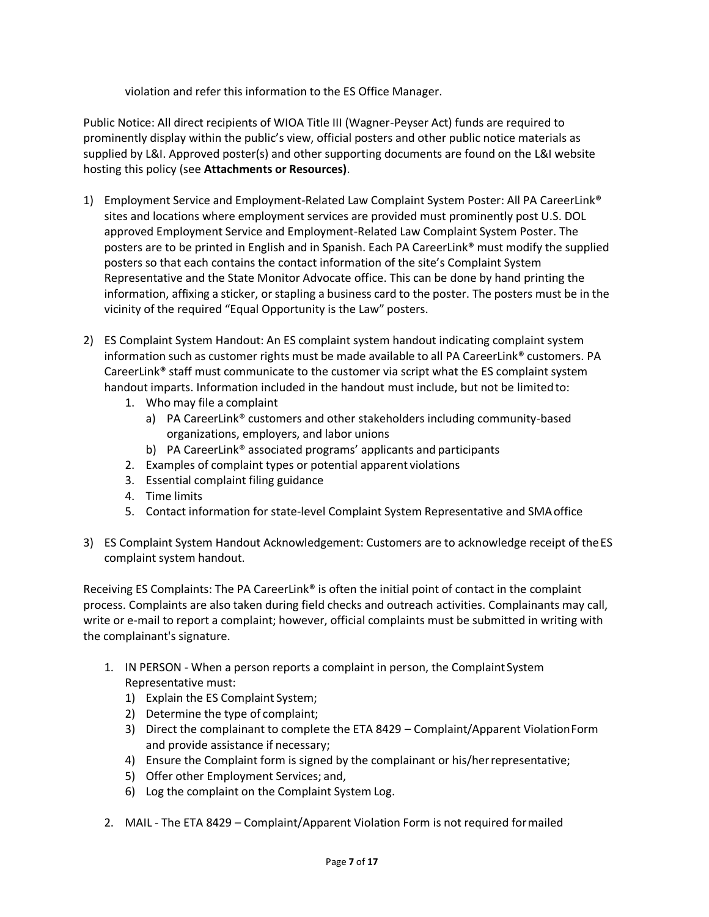violation and refer this information to the ES Office Manager.

Public Notice: All direct recipients of WIOA Title III (Wagner-Peyser Act) funds are required to prominently display within the public's view, official posters and other public notice materials as supplied by L&I. Approved poster(s) and other supporting documents are found on the L&I website hosting this policy (see **Attachments or Resources)**.

- 1) Employment Service and Employment-Related Law Complaint System Poster: All PA CareerLink® sites and locations where employment services are provided must prominently post U.S. DOL approved Employment Service and Employment-Related Law Complaint System Poster. The posters are to be printed in English and in Spanish. Each PA CareerLink® must modify the supplied posters so that each contains the contact information of the site's Complaint System Representative and the State Monitor Advocate office. This can be done by hand printing the information, affixing a sticker, or stapling a business card to the poster. The posters must be in the vicinity of the required "Equal Opportunity is the Law" posters.
- 2) ES Complaint System Handout: An ES complaint system handout indicating complaint system information such as customer rights must be made available to all PA CareerLink® customers. PA CareerLink® staff must communicate to the customer via script what the ES complaint system handout imparts. Information included in the handout must include, but not be limitedto:
	- 1. Who may file a complaint
		- a) PA CareerLink® customers and other stakeholders including community-based organizations, employers, and labor unions
		- b) PA CareerLink® associated programs' applicants and participants
	- 2. Examples of complaint types or potential apparent violations
	- 3. Essential complaint filing guidance
	- 4. Time limits
	- 5. Contact information for state-level Complaint System Representative and SMAoffice
- 3) ES Complaint System Handout Acknowledgement: Customers are to acknowledge receipt of theES complaint system handout.

Receiving ES Complaints: The PA CareerLink® is often the initial point of contact in the complaint process. Complaints are also taken during field checks and outreach activities. Complainants may call, write or e-mail to report a complaint; however, official complaints must be submitted in writing with the complainant's signature.

- 1. IN PERSON ‐ When a person reports a complaint in person, the ComplaintSystem Representative must:
	- 1) Explain the ES Complaint System;
	- 2) Determine the type of complaint;
	- 3) Direct the complainant to complete the ETA 8429 Complaint/Apparent ViolationForm and provide assistance if necessary;
	- 4) Ensure the Complaint form is signed by the complainant or his/herrepresentative;
	- 5) Offer other Employment Services; and,
	- 6) Log the complaint on the Complaint System Log.
- 2. MAIL ‐ The ETA 8429 Complaint/Apparent Violation Form is not required formailed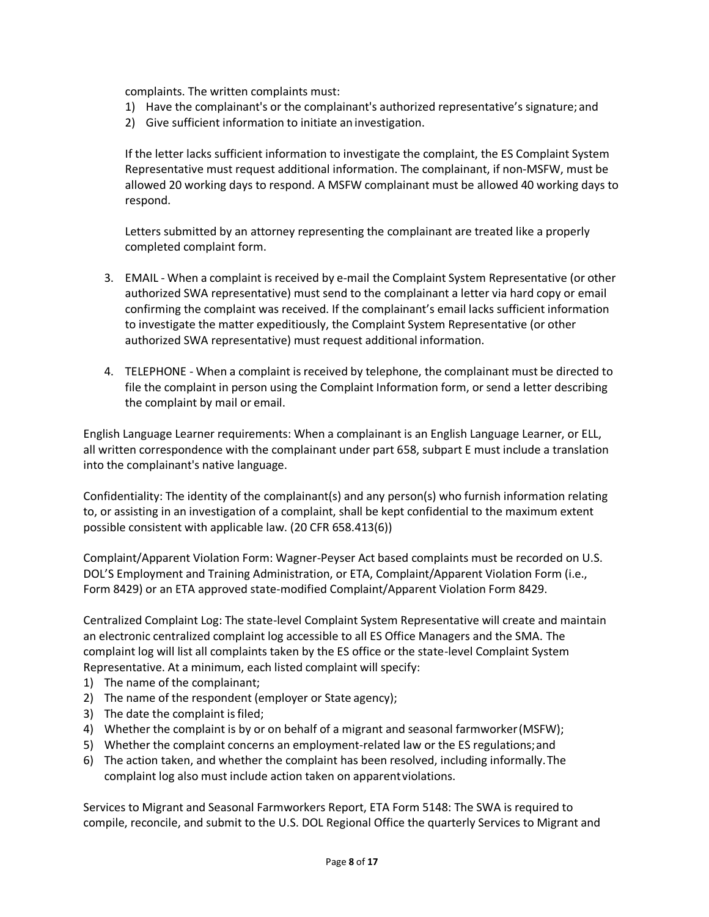complaints. The written complaints must:

- 1) Have the complainant's or the complainant's authorized representative's signature; and
- 2) Give sufficient information to initiate an investigation.

If the letter lacks sufficient information to investigate the complaint, the ES Complaint System Representative must request additional information. The complainant, if non‐MSFW, must be allowed 20 working days to respond. A MSFW complainant must be allowed 40 working days to respond.

Letters submitted by an attorney representing the complainant are treated like a properly completed complaint form.

- 3. EMAIL When a complaint is received by e-mail the Complaint System Representative (or other authorized SWA representative) must send to the complainant a letter via hard copy or email confirming the complaint was received. If the complainant's email lacks sufficient information to investigate the matter expeditiously, the Complaint System Representative (or other authorized SWA representative) must request additional information.
- 4. TELEPHONE ‐ When a complaint is received by telephone, the complainant must be directed to file the complaint in person using the Complaint Information form, or send a letter describing the complaint by mail or email.

English Language Learner requirements: When a complainant is an English Language Learner, or ELL, all written correspondence with the complainant under part 658, subpart E must include a translation into the complainant's native language.

Confidentiality: The identity of the complainant(s) and any person(s) who furnish information relating to, or assisting in an investigation of a complaint, shall be kept confidential to the maximum extent possible consistent with applicable law. (20 CFR 658.413(6))

Complaint/Apparent Violation Form: Wagner-Peyser Act based complaints must be recorded on U.S. DOL'S Employment and Training Administration, or ETA, Complaint/Apparent Violation Form (i.e., Form 8429) or an ETA approved state-modified Complaint/Apparent Violation Form 8429.

Centralized Complaint Log: The state-level Complaint System Representative will create and maintain an electronic centralized complaint log accessible to all ES Office Managers and the SMA. The complaint log will list all complaints taken by the ES office or the state-level Complaint System Representative. At a minimum, each listed complaint will specify:

- 1) The name of the complainant;
- 2) The name of the respondent (employer or State agency);
- 3) The date the complaint is filed;
- 4) Whether the complaint is by or on behalf of a migrant and seasonal farmworker(MSFW);
- 5) Whether the complaint concerns an employment-related law or the ES regulations;and
- 6) The action taken, and whether the complaint has been resolved, including informally.The complaint log also must include action taken on apparentviolations.

Services to Migrant and Seasonal Farmworkers Report, ETA Form 5148: The SWA is required to compile, reconcile, and submit to the U.S. DOL Regional Office the quarterly Services to Migrant and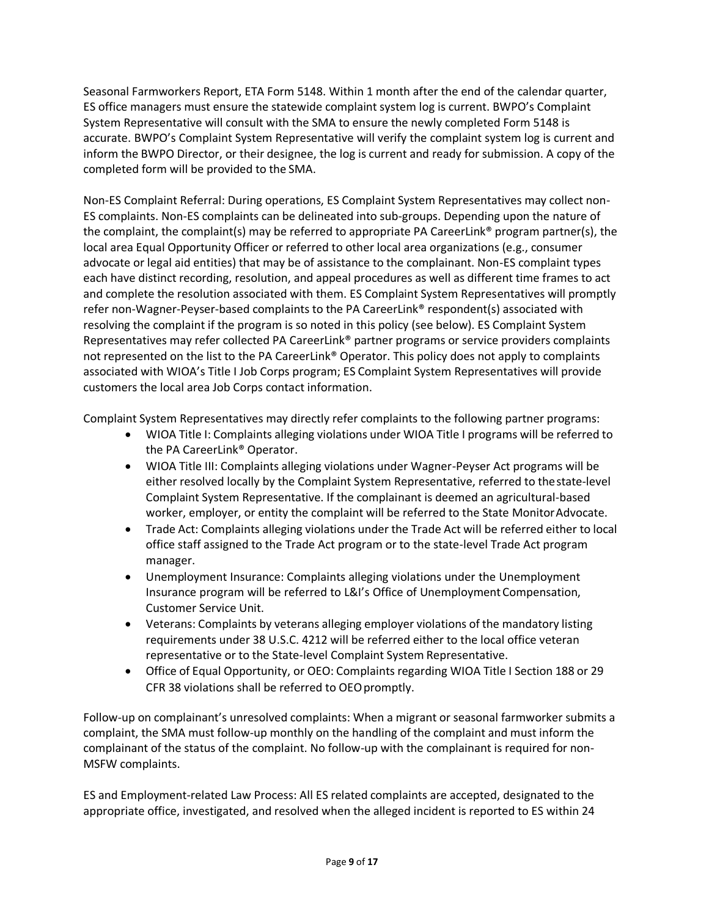Seasonal Farmworkers Report, ETA Form 5148. Within 1 month after the end of the calendar quarter, ES office managers must ensure the statewide complaint system log is current. BWPO's Complaint System Representative will consult with the SMA to ensure the newly completed Form 5148 is accurate. BWPO's Complaint System Representative will verify the complaint system log is current and inform the BWPO Director, or their designee, the log is current and ready for submission. A copy of the completed form will be provided to the SMA.

Non-ES Complaint Referral: During operations, ES Complaint System Representatives may collect non-ES complaints. Non-ES complaints can be delineated into sub-groups. Depending upon the nature of the complaint, the complaint(s) may be referred to appropriate PA CareerLink® program partner(s), the local area Equal Opportunity Officer or referred to other local area organizations (e.g., consumer advocate or legal aid entities) that may be of assistance to the complainant. Non-ES complaint types each have distinct recording, resolution, and appeal procedures as well as different time frames to act and complete the resolution associated with them. ES Complaint System Representatives will promptly refer non-Wagner-Peyser-based complaints to the PA CareerLink® respondent(s) associated with resolving the complaint if the program is so noted in this policy (see below). ES Complaint System Representatives may refer collected PA CareerLink® partner programs or service providers complaints not represented on the list to the PA CareerLink® Operator. This policy does not apply to complaints associated with WIOA's Title I Job Corps program; ES Complaint System Representatives will provide customers the local area Job Corps contact information.

Complaint System Representatives may directly refer complaints to the following partner programs:

- WIOA Title I: Complaints alleging violations under WIOA Title I programs will be referred to the PA CareerLink® Operator.
- WIOA Title III: Complaints alleging violations under Wagner-Peyser Act programs will be either resolved locally by the Complaint System Representative, referred to thestate-level Complaint System Representative. If the complainant is deemed an agricultural-based worker, employer, or entity the complaint will be referred to the State MonitorAdvocate.
- Trade Act: Complaints alleging violations under the Trade Act will be referred either to local office staff assigned to the Trade Act program or to the state-level Trade Act program manager.
- Unemployment Insurance: Complaints alleging violations under the Unemployment Insurance program will be referred to L&I's Office of Unemployment Compensation, Customer Service Unit.
- Veterans: Complaints by veterans alleging employer violations of the mandatory listing requirements under 38 U.S.C. 4212 will be referred either to the local office veteran representative or to the State-level Complaint System Representative.
- Office of Equal Opportunity, or OEO: Complaints regarding WIOA Title I Section 188 or 29 CFR 38 violations shall be referred to OEO promptly.

Follow-up on complainant's unresolved complaints: When a migrant or seasonal farmworker submits a complaint, the SMA must follow-up monthly on the handling of the complaint and must inform the complainant of the status of the complaint. No follow-up with the complainant is required for non-MSFW complaints.

ES and Employment-related Law Process: All ES related complaints are accepted, designated to the appropriate office, investigated, and resolved when the alleged incident is reported to ES within 24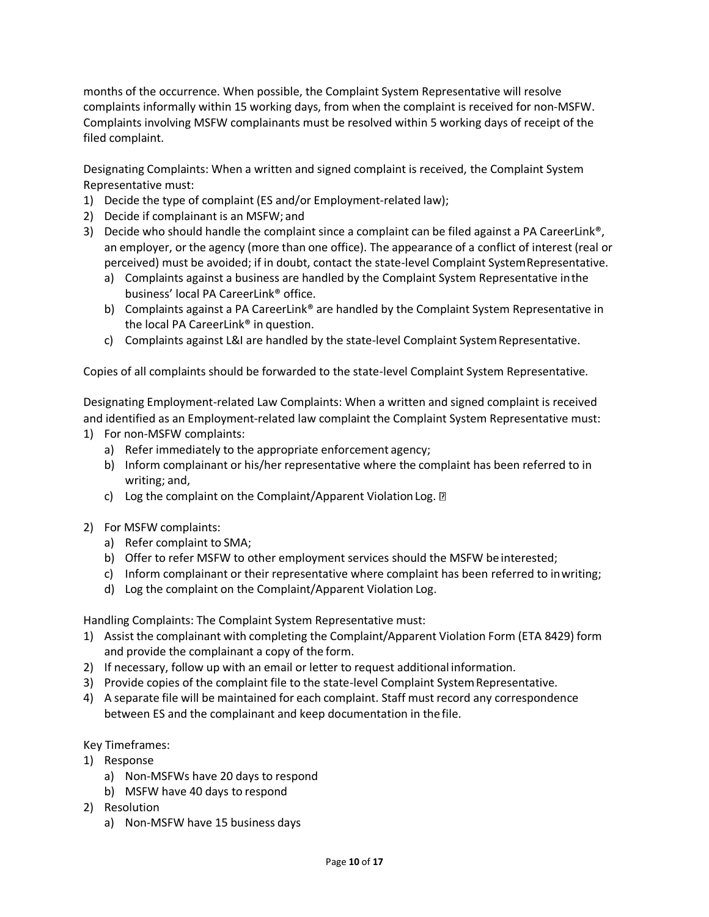months of the occurrence. When possible, the Complaint System Representative will resolve complaints informally within 15 working days, from when the complaint is received for non‐MSFW. Complaints involving MSFW complainants must be resolved within 5 working days of receipt of the filed complaint.

Designating Complaints: When a written and signed complaint is received, the Complaint System Representative must:

- 1) Decide the type of complaint (ES and/or Employment‐related law);
- 2) Decide if complainant is an MSFW; and
- 3) Decide who should handle the complaint since a complaint can be filed against a PA CareerLink®, an employer, or the agency (more than one office). The appearance of a conflict of interest (real or perceived) must be avoided; if in doubt, contact the state-level Complaint SystemRepresentative.
	- a) Complaints against a business are handled by the Complaint System Representative inthe business' local PA CareerLink® office.
	- b) Complaints against a PA CareerLink® are handled by the Complaint System Representative in the local PA CareerLink® in question.
	- c) Complaints against L&I are handled by the state-level Complaint System Representative.

Copies of all complaints should be forwarded to the state-level Complaint System Representative.

Designating Employment-related Law Complaints: When a written and signed complaint is received and identified as an Employment-related law complaint the Complaint System Representative must:

- 1) For non-MSFW complaints:
	- a) Refer immediately to the appropriate enforcement agency;
	- b) Inform complainant or his/her representative where the complaint has been referred to in writing; and,
	- c) Log the complaint on the Complaint/Apparent Violation Log.  $\mathbb D$
- 2) For MSFW complaints:
	- a) Refer complaint to SMA;
	- b) Offer to refer MSFW to other employment services should the MSFW be interested;
	- c) Inform complainant or their representative where complaint has been referred to inwriting;
	- d) Log the complaint on the Complaint/Apparent Violation Log.

Handling Complaints: The Complaint System Representative must:

- 1) Assist the complainant with completing the Complaint/Apparent Violation Form (ETA 8429) form and provide the complainant a copy of the form.
- 2) If necessary, follow up with an email or letter to request additional information.
- 3) Provide copies of the complaint file to the state-level Complaint System Representative.
- 4) A separate file will be maintained for each complaint. Staff must record any correspondence between ES and the complainant and keep documentation in the file.

Key Timeframes:

- 1) Response
	- a) Non‐MSFWs have 20 days to respond
	- b) MSFW have 40 days to respond
- 2) Resolution
	- a) Non‐MSFW have 15 business days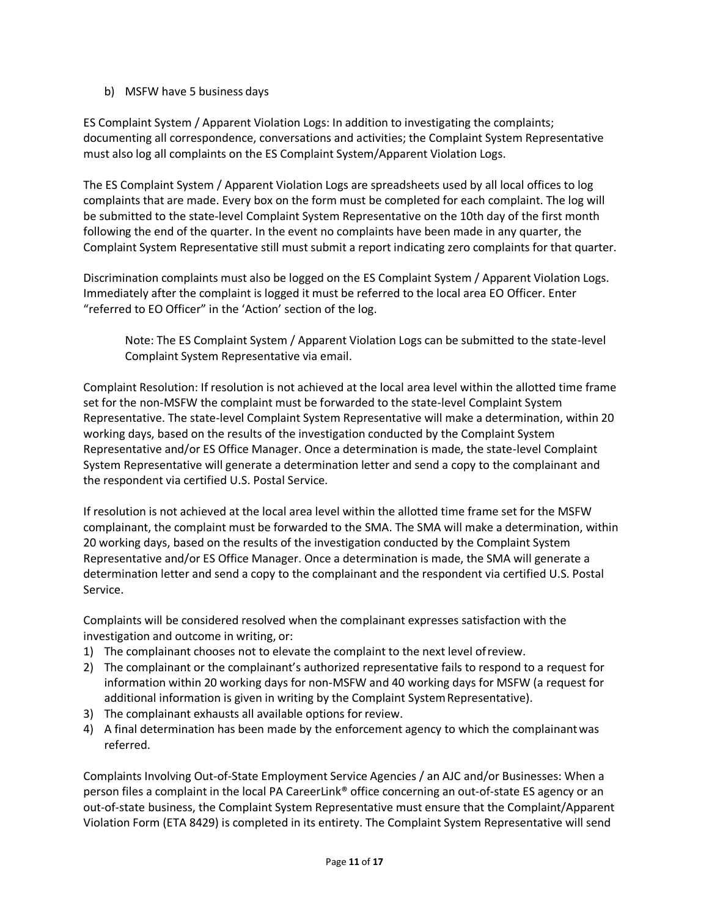# b) MSFW have 5 business days

ES Complaint System / Apparent Violation Logs: In addition to investigating the complaints; documenting all correspondence, conversations and activities; the Complaint System Representative must also log all complaints on the ES Complaint System/Apparent Violation Logs.

The ES Complaint System / Apparent Violation Logs are spreadsheets used by all local offices to log complaints that are made. Every box on the form must be completed for each complaint. The log will be submitted to the state-level Complaint System Representative on the 10th day of the first month following the end of the quarter. In the event no complaints have been made in any quarter, the Complaint System Representative still must submit a report indicating zero complaints for that quarter.

Discrimination complaints must also be logged on the ES Complaint System / Apparent Violation Logs. Immediately after the complaint is logged it must be referred to the local area EO Officer. Enter "referred to EO Officer" in the 'Action' section of the log.

Note: The ES Complaint System / Apparent Violation Logs can be submitted to the state-level Complaint System Representative via email.

Complaint Resolution: If resolution is not achieved at the local area level within the allotted time frame set for the non‐MSFW the complaint must be forwarded to the state-level Complaint System Representative. The state-level Complaint System Representative will make a determination, within 20 working days, based on the results of the investigation conducted by the Complaint System Representative and/or ES Office Manager. Once a determination is made, the state-level Complaint System Representative will generate a determination letter and send a copy to the complainant and the respondent via certified U.S. Postal Service.

If resolution is not achieved at the local area level within the allotted time frame set for the MSFW complainant, the complaint must be forwarded to the SMA. The SMA will make a determination, within 20 working days, based on the results of the investigation conducted by the Complaint System Representative and/or ES Office Manager. Once a determination is made, the SMA will generate a determination letter and send a copy to the complainant and the respondent via certified U.S. Postal Service.

Complaints will be considered resolved when the complainant expresses satisfaction with the investigation and outcome in writing, or:

- 1) The complainant chooses not to elevate the complaint to the next level ofreview.
- 2) The complainant or the complainant's authorized representative fails to respond to a request for information within 20 working days for non‐MSFW and 40 working days for MSFW (a request for additional information is given in writing by the Complaint System Representative).
- 3) The complainant exhausts all available options for review.
- 4) A final determination has been made by the enforcement agency to which the complainantwas referred.

Complaints Involving Out-of-State Employment Service Agencies / an AJC and/or Businesses: When a person files a complaint in the local PA CareerLink<sup>®</sup> office concerning an out-of-state ES agency or an out‐of‐state business, the Complaint System Representative must ensure that the Complaint/Apparent Violation Form (ETA 8429) is completed in its entirety. The Complaint System Representative will send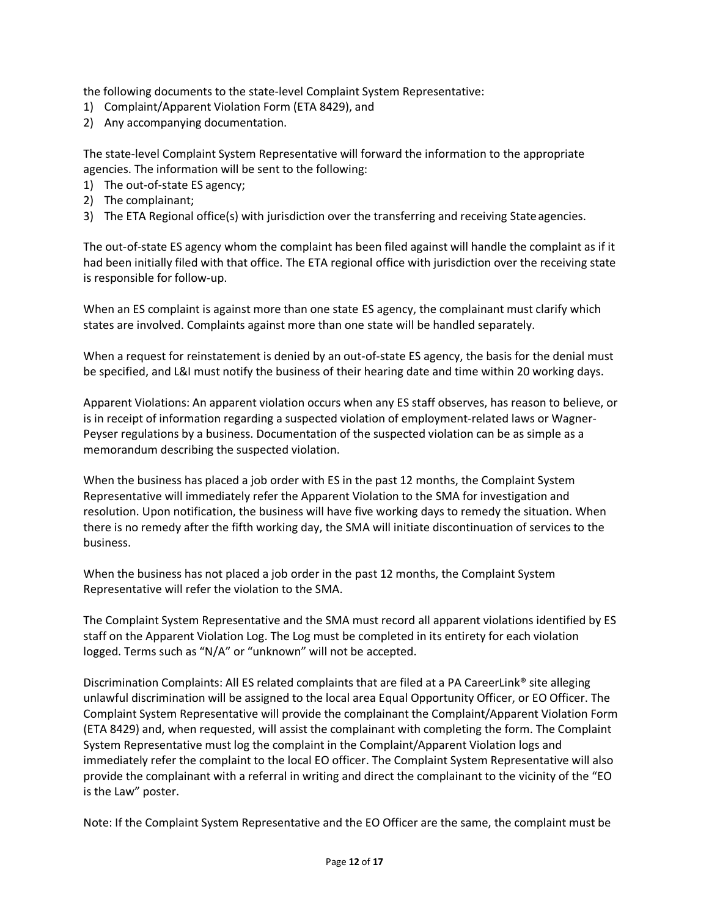the following documents to the state-level Complaint System Representative:

- 1) Complaint/Apparent Violation Form (ETA 8429), and
- 2) Any accompanying documentation.

The state-level Complaint System Representative will forward the information to the appropriate agencies. The information will be sent to the following:

- 1) The out-of-state ES agency;
- 2) The complainant;
- 3) The ETA Regional office(s) with jurisdiction over the transferring and receiving Stateagencies.

The out‐of‐state ES agency whom the complaint has been filed against will handle the complaint as if it had been initially filed with that office. The ETA regional office with jurisdiction over the receiving state is responsible for follow‐up.

When an ES complaint is against more than one state ES agency, the complainant must clarify which states are involved. Complaints against more than one state will be handled separately.

When a request for reinstatement is denied by an out-of-state ES agency, the basis for the denial must be specified, and L&I must notify the business of their hearing date and time within 20 working days.

Apparent Violations: An apparent violation occurs when any ES staff observes, has reason to believe, or is in receipt of information regarding a suspected violation of employment-related laws or Wagner-Peyser regulations by a business. Documentation of the suspected violation can be as simple as a memorandum describing the suspected violation.

When the business has placed a job order with ES in the past 12 months, the Complaint System Representative will immediately refer the Apparent Violation to the SMA for investigation and resolution. Upon notification, the business will have five working days to remedy the situation. When there is no remedy after the fifth working day, the SMA will initiate discontinuation of services to the business.

When the business has not placed a job order in the past 12 months, the Complaint System Representative will refer the violation to the SMA.

The Complaint System Representative and the SMA must record all apparent violations identified by ES staff on the Apparent Violation Log. The Log must be completed in its entirety for each violation logged. Terms such as "N/A" or "unknown" will not be accepted.

Discrimination Complaints: All ES related complaints that are filed at a PA CareerLink<sup>®</sup> site alleging unlawful discrimination will be assigned to the local area Equal Opportunity Officer, or EO Officer. The Complaint System Representative will provide the complainant the Complaint/Apparent Violation Form (ETA 8429) and, when requested, will assist the complainant with completing the form. The Complaint System Representative must log the complaint in the Complaint/Apparent Violation logs and immediately refer the complaint to the local EO officer. The Complaint System Representative will also provide the complainant with a referral in writing and direct the complainant to the vicinity of the "EO is the Law" poster.

Note: If the Complaint System Representative and the EO Officer are the same, the complaint must be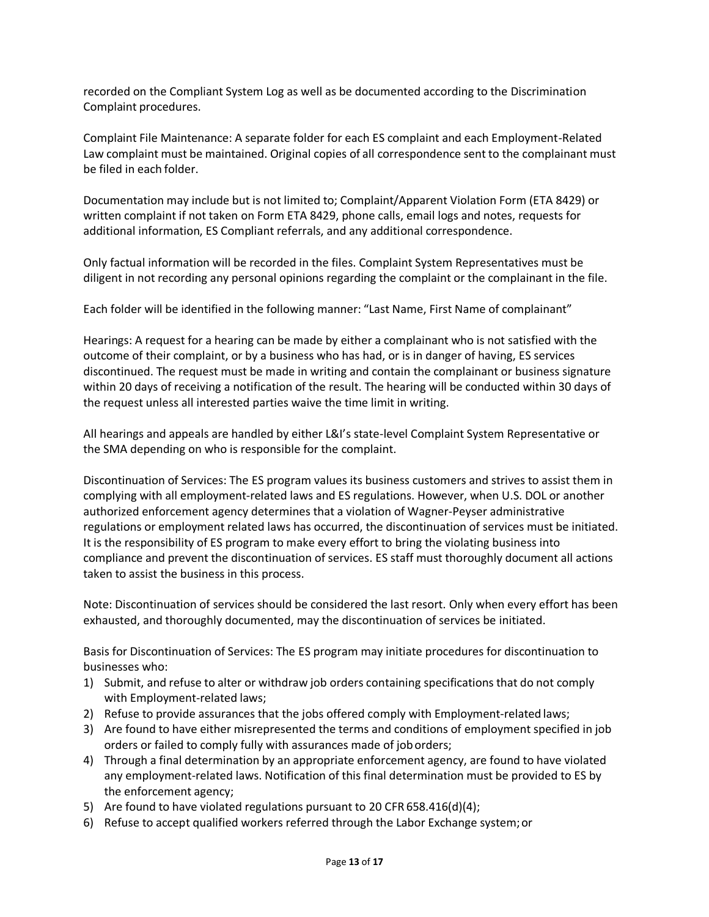recorded on the Compliant System Log as well as be documented according to the Discrimination Complaint procedures.

Complaint File Maintenance: A separate folder for each ES complaint and each Employment-Related Law complaint must be maintained. Original copies of all correspondence sent to the complainant must be filed in each folder.

Documentation may include but is not limited to; Complaint/Apparent Violation Form (ETA 8429) or written complaint if not taken on Form ETA 8429, phone calls, email logs and notes, requests for additional information, ES Compliant referrals, and any additional correspondence.

Only factual information will be recorded in the files. Complaint System Representatives must be diligent in not recording any personal opinions regarding the complaint or the complainant in the file.

Each folder will be identified in the following manner: "Last Name, First Name of complainant"

Hearings: A request for a hearing can be made by either a complainant who is not satisfied with the outcome of their complaint, or by a business who has had, or is in danger of having, ES services discontinued. The request must be made in writing and contain the complainant or business signature within 20 days of receiving a notification of the result. The hearing will be conducted within 30 days of the request unless all interested parties waive the time limit in writing.

All hearings and appeals are handled by either L&I's state-level Complaint System Representative or the SMA depending on who is responsible for the complaint.

Discontinuation of Services: The ES program values its business customers and strives to assist them in complying with all employment-related laws and ES regulations. However, when U.S. DOL or another authorized enforcement agency determines that a violation of Wagner‐Peyser administrative regulations or employment related laws has occurred, the discontinuation of services must be initiated. It is the responsibility of ES program to make every effort to bring the violating business into compliance and prevent the discontinuation of services. ES staff must thoroughly document all actions taken to assist the business in this process.

Note: Discontinuation of services should be considered the last resort. Only when every effort has been exhausted, and thoroughly documented, may the discontinuation of services be initiated.

Basis for Discontinuation of Services: The ES program may initiate procedures for discontinuation to businesses who:

- 1) Submit, and refuse to alter or withdraw job orders containing specifications that do not comply with Employment-related laws;
- 2) Refuse to provide assurances that the jobs offered comply with Employment-related laws;
- 3) Are found to have either misrepresented the terms and conditions of employment specified in job orders or failed to comply fully with assurances made of joborders;
- 4) Through a final determination by an appropriate enforcement agency, are found to have violated any employment-related laws. Notification of this final determination must be provided to ES by the enforcement agency;
- 5) Are found to have violated regulations pursuant to 20 CFR 658.416(d)(4);
- 6) Refuse to accept qualified workers referred through the Labor Exchange system;or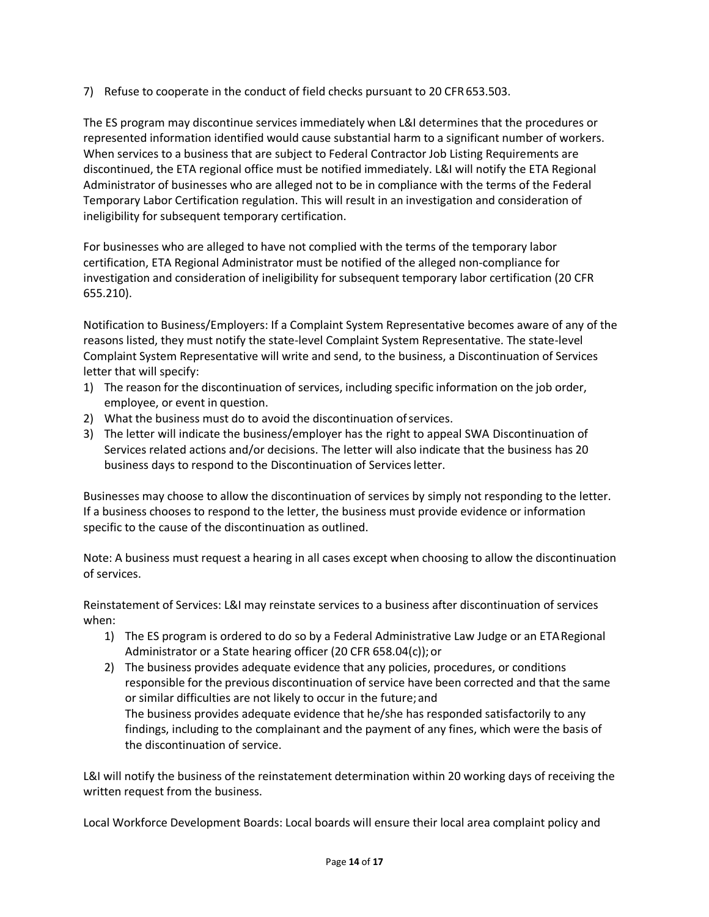7) Refuse to cooperate in the conduct of field checks pursuant to 20 CFR653.503.

The ES program may discontinue services immediately when L&I determines that the procedures or represented information identified would cause substantial harm to a significant number of workers. When services to a business that are subject to Federal Contractor Job Listing Requirements are discontinued, the ETA regional office must be notified immediately. L&I will notify the ETA Regional Administrator of businesses who are alleged not to be in compliance with the terms of the Federal Temporary Labor Certification regulation. This will result in an investigation and consideration of ineligibility for subsequent temporary certification.

For businesses who are alleged to have not complied with the terms of the temporary labor certification, ETA Regional Administrator must be notified of the alleged non‐compliance for investigation and consideration of ineligibility for subsequent temporary labor certification (20 CFR 655.210).

Notification to Business/Employers: If a Complaint System Representative becomes aware of any of the reasons listed, they must notify the state-level Complaint System Representative. The state-level Complaint System Representative will write and send, to the business, a Discontinuation of Services letter that will specify:

- 1) The reason for the discontinuation of services, including specific information on the job order, employee, or event in question.
- 2) What the business must do to avoid the discontinuation of services.
- 3) The letter will indicate the business/employer has the right to appeal SWA Discontinuation of Services related actions and/or decisions. The letter will also indicate that the business has 20 business days to respond to the Discontinuation of Servicesletter.

Businesses may choose to allow the discontinuation of services by simply not responding to the letter. If a business chooses to respond to the letter, the business must provide evidence or information specific to the cause of the discontinuation as outlined.

Note: A business must request a hearing in all cases except when choosing to allow the discontinuation of services.

Reinstatement of Services: L&I may reinstate services to a business after discontinuation of services when:

- 1) The ES program is ordered to do so by a Federal Administrative Law Judge or an ETARegional Administrator or a State hearing officer (20 CFR 658.04(c));or
- 2) The business provides adequate evidence that any policies, procedures, or conditions responsible for the previous discontinuation of service have been corrected and that the same or similar difficulties are not likely to occur in the future; and The business provides adequate evidence that he/she has responded satisfactorily to any findings, including to the complainant and the payment of any fines, which were the basis of the discontinuation of service.

L&I will notify the business of the reinstatement determination within 20 working days of receiving the written request from the business.

Local Workforce Development Boards: Local boards will ensure their local area complaint policy and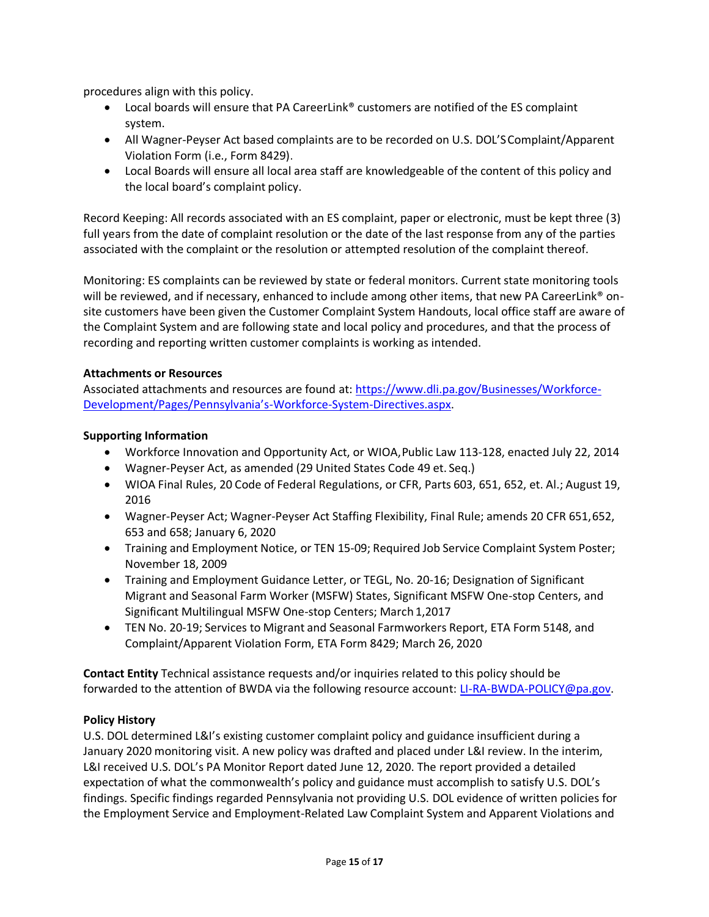procedures align with this policy.

- Local boards will ensure that PA CareerLink® customers are notified of the ES complaint system.
- All Wagner-Peyser Act based complaints are to be recorded on U.S. DOL'S Complaint/Apparent Violation Form (i.e., Form 8429).
- Local Boards will ensure all local area staff are knowledgeable of the content of this policy and the local board's complaint policy.

Record Keeping: All records associated with an ES complaint, paper or electronic, must be kept three (3) full years from the date of complaint resolution or the date of the last response from any of the parties associated with the complaint or the resolution or attempted resolution of the complaint thereof.

Monitoring: ES complaints can be reviewed by state or federal monitors. Current state monitoring tools will be reviewed, and if necessary, enhanced to include among other items, that new PA CareerLink<sup>®</sup> onsite customers have been given the Customer Complaint System Handouts, local office staff are aware of the Complaint System and are following state and local policy and procedures, and that the process of recording and reporting written customer complaints is working as intended.

### **Attachments or Resources**

Associated attachments and resources are found at: [https://www.dli.pa.gov/Businesses/Workforce-](https://www.dli.pa.gov/Businesses/Workforce-Development/Pages/Pennsylvania%27s-Workforce-System-Directives.aspx)[Development/Pages/Pennsylvania's](https://www.dli.pa.gov/Businesses/Workforce-Development/Pages/Pennsylvania%27s-Workforce-System-Directives.aspx)-Workforce-System-Directives.aspx.

# **Supporting Information**

- Workforce Innovation and Opportunity Act, or WIOA,Public Law 113-128, enacted July 22, 2014
- Wagner-Peyser Act, as amended (29 United States Code 49 et. Seq.)
- WIOA Final Rules, 20 Code of Federal Regulations, or CFR, Parts 603, 651, 652, et. Al.; August 19, 2016
- Wagner-Peyser Act; Wagner-Peyser Act Staffing Flexibility, Final Rule; amends 20 CFR 651,652, 653 and 658; January 6, 2020
- Training and Employment Notice, or TEN 15-09; Required Job Service Complaint System Poster; November 18, 2009
- Training and Employment Guidance Letter, or TEGL, No. 20-16; Designation of Significant Migrant and Seasonal Farm Worker (MSFW) States, Significant MSFW One-stop Centers, and Significant Multilingual MSFW One-stop Centers; March 1,2017
- TEN No. 20-19; Services to Migrant and Seasonal Farmworkers Report, ETA Form 5148, and Complaint/Apparent Violation Form, ETA Form 8429; March 26, 2020

**Contact Entity** Technical assistance requests and/or inquiries related to this policy should be forwarded to the attention of BWDA via the following resource account: [LI-RA-BWDA-POLICY@pa.gov.](mailto:LI-RA-BWDA-POLICY@pa.gov)

### **Policy History**

U.S. DOL determined L&I's existing customer complaint policy and guidance insufficient during a January 2020 monitoring visit. A new policy was drafted and placed under L&I review. In the interim, L&I received U.S. DOL's PA Monitor Report dated June 12, 2020. The report provided a detailed expectation of what the commonwealth's policy and guidance must accomplish to satisfy U.S. DOL's findings. Specific findings regarded Pennsylvania not providing U.S. DOL evidence of written policies for the Employment Service and Employment-Related Law Complaint System and Apparent Violations and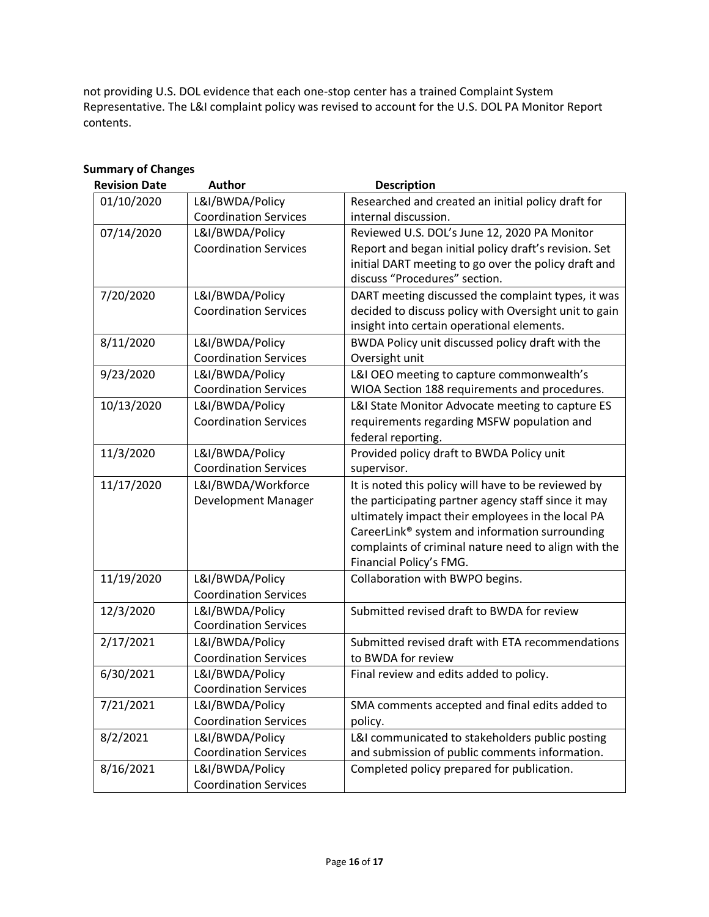not providing U.S. DOL evidence that each one-stop center has a trained Complaint System Representative. The L&I complaint policy was revised to account for the U.S. DOL PA Monitor Report contents.

# **Summary of Changes**

| <b>Revision Date</b>                            | <b>Author</b>                                   | <b>Description</b>                                                                                |
|-------------------------------------------------|-------------------------------------------------|---------------------------------------------------------------------------------------------------|
| 01/10/2020                                      | L&I/BWDA/Policy                                 | Researched and created an initial policy draft for                                                |
|                                                 | <b>Coordination Services</b>                    | internal discussion.                                                                              |
| 07/14/2020                                      | L&I/BWDA/Policy                                 | Reviewed U.S. DOL's June 12, 2020 PA Monitor                                                      |
|                                                 | <b>Coordination Services</b>                    | Report and began initial policy draft's revision. Set                                             |
|                                                 |                                                 | initial DART meeting to go over the policy draft and                                              |
|                                                 |                                                 | discuss "Procedures" section.                                                                     |
| 7/20/2020                                       | L&I/BWDA/Policy                                 | DART meeting discussed the complaint types, it was                                                |
|                                                 | <b>Coordination Services</b>                    | decided to discuss policy with Oversight unit to gain                                             |
|                                                 |                                                 | insight into certain operational elements.                                                        |
| 8/11/2020                                       | L&I/BWDA/Policy                                 | BWDA Policy unit discussed policy draft with the                                                  |
|                                                 | <b>Coordination Services</b>                    | Oversight unit                                                                                    |
| 9/23/2020                                       | L&I/BWDA/Policy                                 | L&I OEO meeting to capture commonwealth's                                                         |
|                                                 | <b>Coordination Services</b>                    | WIOA Section 188 requirements and procedures.                                                     |
| 10/13/2020                                      | L&I/BWDA/Policy                                 | L&I State Monitor Advocate meeting to capture ES                                                  |
|                                                 | <b>Coordination Services</b>                    | requirements regarding MSFW population and                                                        |
|                                                 |                                                 | federal reporting.                                                                                |
| 11/3/2020                                       | L&I/BWDA/Policy                                 | Provided policy draft to BWDA Policy unit                                                         |
|                                                 | <b>Coordination Services</b>                    | supervisor.                                                                                       |
| 11/17/2020                                      | L&I/BWDA/Workforce                              | It is noted this policy will have to be reviewed by                                               |
|                                                 | Development Manager                             | the participating partner agency staff since it may                                               |
|                                                 |                                                 | ultimately impact their employees in the local PA                                                 |
|                                                 |                                                 | CareerLink <sup>®</sup> system and information surrounding                                        |
|                                                 |                                                 | complaints of criminal nature need to align with the                                              |
|                                                 |                                                 | Financial Policy's FMG.                                                                           |
| 11/19/2020                                      | L&I/BWDA/Policy                                 | Collaboration with BWPO begins.                                                                   |
|                                                 | <b>Coordination Services</b>                    |                                                                                                   |
| 12/3/2020                                       | L&I/BWDA/Policy                                 | Submitted revised draft to BWDA for review                                                        |
|                                                 | <b>Coordination Services</b>                    |                                                                                                   |
| 2/17/2021                                       | L&I/BWDA/Policy                                 | Submitted revised draft with ETA recommendations                                                  |
|                                                 | <b>Coordination Services</b>                    | to BWDA for review                                                                                |
| 6/30/2021<br>7/21/2021<br>8/2/2021<br>8/16/2021 | L&I/BWDA/Policy<br><b>Coordination Services</b> | Final review and edits added to policy.                                                           |
|                                                 |                                                 |                                                                                                   |
|                                                 | L&I/BWDA/Policy                                 | SMA comments accepted and final edits added to                                                    |
|                                                 | <b>Coordination Services</b>                    | policy.                                                                                           |
|                                                 | L&I/BWDA/Policy<br><b>Coordination Services</b> | L&I communicated to stakeholders public posting<br>and submission of public comments information. |
|                                                 | L&I/BWDA/Policy                                 | Completed policy prepared for publication.                                                        |
|                                                 | <b>Coordination Services</b>                    |                                                                                                   |
|                                                 |                                                 |                                                                                                   |